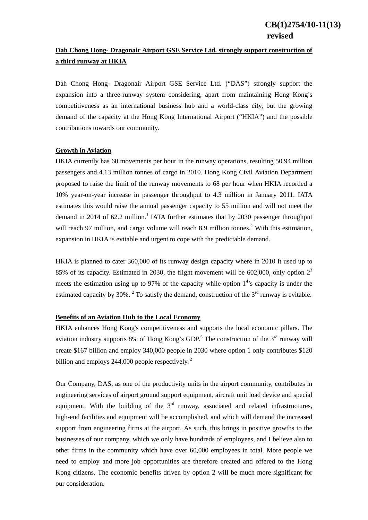## **Dah Chong Hong- Dragonair Airport GSE Service Ltd. strongly support construction of a third runway at HKIA**

Dah Chong Hong- Dragonair Airport GSE Service Ltd. ("DAS") strongly support the expansion into a three-runway system considering, apart from maintaining Hong Kong's competitiveness as an international business hub and a world-class city, but the growing demand of the capacity at the Hong Kong International Airport ("HKIA") and the possible contributions towards our community.

## **Growth in Aviation**

HKIA currently has 60 movements per hour in the runway operations, resulting 50.94 million passengers and 4.13 million tonnes of cargo in 2010. Hong Kong Civil Aviation Department proposed to raise the limit of the runway movements to 68 per hour when HKIA recorded a 10% year-on-year increase in passenger throughput to 4.3 million in January 2011. IATA estimates this would raise the annual passenger capacity to 55 million and will not meet the demand in 2014 of 62.2 million.<sup>1</sup> IATA further estimates that by 2030 passenger throughput will reach 97 million, and cargo volume will reach 8.9 million tonnes.<sup>2</sup> With this estimation, expansion in HKIA is evitable and urgent to cope with the predictable demand.

HKIA is planned to cater 360,000 of its runway design capacity where in 2010 it used up to 85% of its capacity. Estimated in 2030, the flight movement will be 602,000, only option  $2<sup>3</sup>$ meets the estimation using up to 97% of the capacity while option  $1<sup>4</sup>$ 's capacity is under the estimated capacity by 30%. <sup>2</sup> To satisfy the demand, construction of the  $3<sup>rd</sup>$  runway is evitable.

## **Benefits of an Aviation Hub to the Local Economy**

HKIA enhances Hong Kong's competitiveness and supports the local economic pillars. The aviation industry supports 8% of Hong Kong's GDP.<sup>5</sup> The construction of the  $3<sup>rd</sup>$  runway will create \$167 billion and employ 340,000 people in 2030 where option 1 only contributes \$120 billion and employs 244,000 people respectively.<sup>2</sup>

Our Company, DAS, as one of the productivity units in the airport community, contributes in engineering services of airport ground support equipment, aircraft unit load device and special equipment. With the building of the  $3<sup>rd</sup>$  runway, associated and related infrastructures, high-end facilities and equipment will be accomplished, and which will demand the increased support from engineering firms at the airport. As such, this brings in positive growths to the businesses of our company, which we only have hundreds of employees, and I believe also to other firms in the community which have over 60,000 employees in total. More people we need to employ and more job opportunities are therefore created and offered to the Hong Kong citizens. The economic benefits driven by option 2 will be much more significant for our consideration.